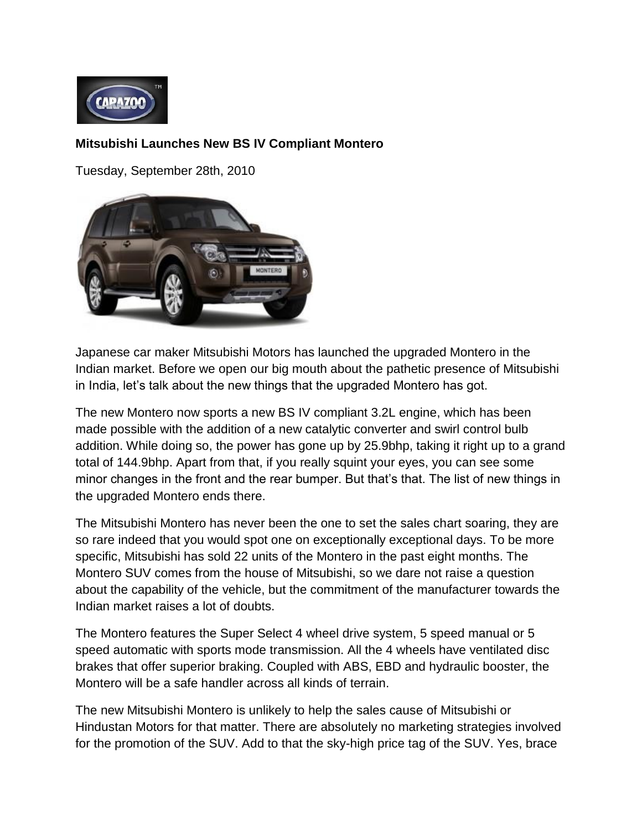

## **Mitsubishi Launches New BS IV Compliant Montero**

Tuesday, September 28th, 2010



Japanese car maker Mitsubishi Motors has launched the upgraded Montero in the Indian market. Before we open our big mouth about the pathetic presence of Mitsubishi in India, let's talk about the new things that the upgraded Montero has got.

The new Montero now sports a new BS IV compliant 3.2L engine, which has been made possible with the addition of a new catalytic converter and swirl control bulb addition. While doing so, the power has gone up by 25.9bhp, taking it right up to a grand total of 144.9bhp. Apart from that, if you really squint your eyes, you can see some minor changes in the front and the rear bumper. But that's that. The list of new things in the upgraded Montero ends there.

The Mitsubishi Montero has never been the one to set the sales chart soaring, they are so rare indeed that you would spot one on exceptionally exceptional days. To be more specific, Mitsubishi has sold 22 units of the Montero in the past eight months. The Montero SUV comes from the house of Mitsubishi, so we dare not raise a question about the capability of the vehicle, but the commitment of the manufacturer towards the Indian market raises a lot of doubts.

The Montero features the Super Select 4 wheel drive system, 5 speed manual or 5 speed automatic with sports mode transmission. All the 4 wheels have ventilated disc brakes that offer superior braking. Coupled with ABS, EBD and hydraulic booster, the Montero will be a safe handler across all kinds of terrain.

The new Mitsubishi Montero is unlikely to help the sales cause of Mitsubishi or Hindustan Motors for that matter. There are absolutely no marketing strategies involved for the promotion of the SUV. Add to that the sky-high price tag of the SUV. Yes, brace